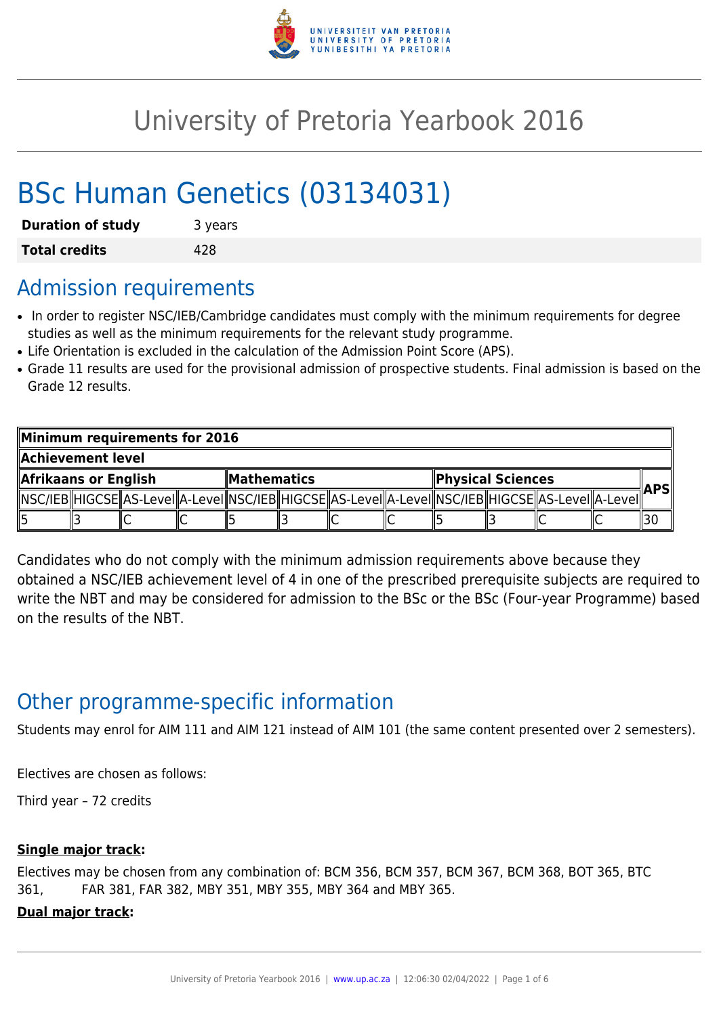

# University of Pretoria Yearbook 2016

# BSc Human Genetics (03134031)

| <b>Duration of study</b> | 3 years |
|--------------------------|---------|
| <b>Total credits</b>     | 428     |

### Admission requirements

- In order to register NSC/IEB/Cambridge candidates must comply with the minimum requirements for degree studies as well as the minimum requirements for the relevant study programme.
- Life Orientation is excluded in the calculation of the Admission Point Score (APS).
- Grade 11 results are used for the provisional admission of prospective students. Final admission is based on the Grade 12 results.

| Minimum requirements for 2016 |  |                                                                                                            |  |                    |  |  |                   |  |  |  |            |     |
|-------------------------------|--|------------------------------------------------------------------------------------------------------------|--|--------------------|--|--|-------------------|--|--|--|------------|-----|
| Achievement level             |  |                                                                                                            |  |                    |  |  |                   |  |  |  |            |     |
| Afrikaans or English          |  |                                                                                                            |  | <b>Mathematics</b> |  |  | Physical Sciences |  |  |  | <b>APS</b> |     |
|                               |  | NSC/IEB  HIGCSE  AS-LeveI  A-LeveI  NSC/IEB  HIGCSE  AS-LeveI  A-LeveI  NSC/IEB  HIGCSE  AS-LeveI  A-LeveI |  |                    |  |  |                   |  |  |  |            |     |
|                               |  |                                                                                                            |  |                    |  |  |                   |  |  |  |            | 13C |

Candidates who do not comply with the minimum admission requirements above because they obtained a NSC/IEB achievement level of 4 in one of the prescribed prerequisite subjects are required to write the NBT and may be considered for admission to the BSc or the BSc (Four-year Programme) based on the results of the NBT.

# Other programme-specific information

Students may enrol for AIM 111 and AIM 121 instead of AIM 101 (the same content presented over 2 semesters).

Electives are chosen as follows:

Third year – 72 credits

#### **Single major track:**

Electives may be chosen from any combination of: BCM 356, BCM 357, BCM 367, BCM 368, BOT 365, BTC 361, FAR 381, FAR 382, MBY 351, MBY 355, MBY 364 and MBY 365.

**Dual major track:**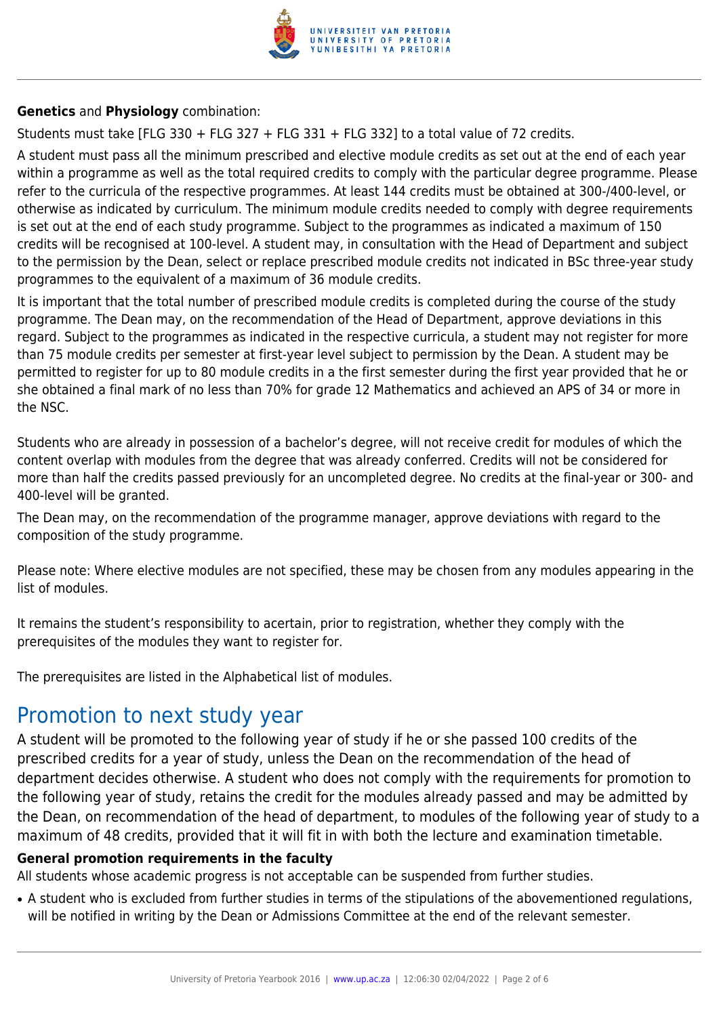

**Genetics** and **Physiology** combination:

Students must take [FLG 330 + FLG 327 + FLG 331 + FLG 332] to a total value of 72 credits.

A student must pass all the minimum prescribed and elective module credits as set out at the end of each year within a programme as well as the total required credits to comply with the particular degree programme. Please refer to the curricula of the respective programmes. At least 144 credits must be obtained at 300-/400-level, or otherwise as indicated by curriculum. The minimum module credits needed to comply with degree requirements is set out at the end of each study programme. Subject to the programmes as indicated a maximum of 150 credits will be recognised at 100-level. A student may, in consultation with the Head of Department and subject to the permission by the Dean, select or replace prescribed module credits not indicated in BSc three-year study programmes to the equivalent of a maximum of 36 module credits.

It is important that the total number of prescribed module credits is completed during the course of the study programme. The Dean may, on the recommendation of the Head of Department, approve deviations in this regard. Subject to the programmes as indicated in the respective curricula, a student may not register for more than 75 module credits per semester at first-year level subject to permission by the Dean. A student may be permitted to register for up to 80 module credits in a the first semester during the first year provided that he or she obtained a final mark of no less than 70% for grade 12 Mathematics and achieved an APS of 34 or more in the NSC.

Students who are already in possession of a bachelor's degree, will not receive credit for modules of which the content overlap with modules from the degree that was already conferred. Credits will not be considered for more than half the credits passed previously for an uncompleted degree. No credits at the final-year or 300- and 400-level will be granted.

The Dean may, on the recommendation of the programme manager, approve deviations with regard to the composition of the study programme.

Please note: Where elective modules are not specified, these may be chosen from any modules appearing in the list of modules.

It remains the student's responsibility to acertain, prior to registration, whether they comply with the prerequisites of the modules they want to register for.

The prerequisites are listed in the Alphabetical list of modules.

### Promotion to next study year

A student will be promoted to the following year of study if he or she passed 100 credits of the prescribed credits for a year of study, unless the Dean on the recommendation of the head of department decides otherwise. A student who does not comply with the requirements for promotion to the following year of study, retains the credit for the modules already passed and may be admitted by the Dean, on recommendation of the head of department, to modules of the following year of study to a maximum of 48 credits, provided that it will fit in with both the lecture and examination timetable.

#### **General promotion requirements in the faculty**

All students whose academic progress is not acceptable can be suspended from further studies.

• A student who is excluded from further studies in terms of the stipulations of the abovementioned regulations, will be notified in writing by the Dean or Admissions Committee at the end of the relevant semester.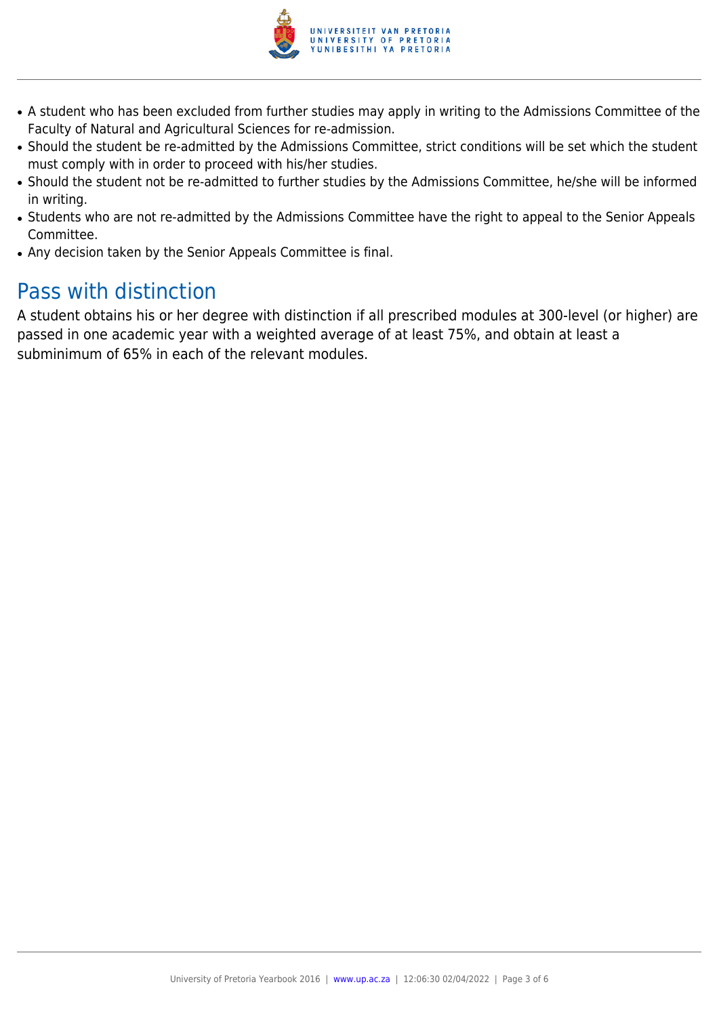

- A student who has been excluded from further studies may apply in writing to the Admissions Committee of the Faculty of Natural and Agricultural Sciences for re-admission.
- Should the student be re-admitted by the Admissions Committee, strict conditions will be set which the student must comply with in order to proceed with his/her studies.
- Should the student not be re-admitted to further studies by the Admissions Committee, he/she will be informed in writing.
- Students who are not re-admitted by the Admissions Committee have the right to appeal to the Senior Appeals Committee.
- Any decision taken by the Senior Appeals Committee is final.

# Pass with distinction

A student obtains his or her degree with distinction if all prescribed modules at 300-level (or higher) are passed in one academic year with a weighted average of at least 75%, and obtain at least a subminimum of 65% in each of the relevant modules.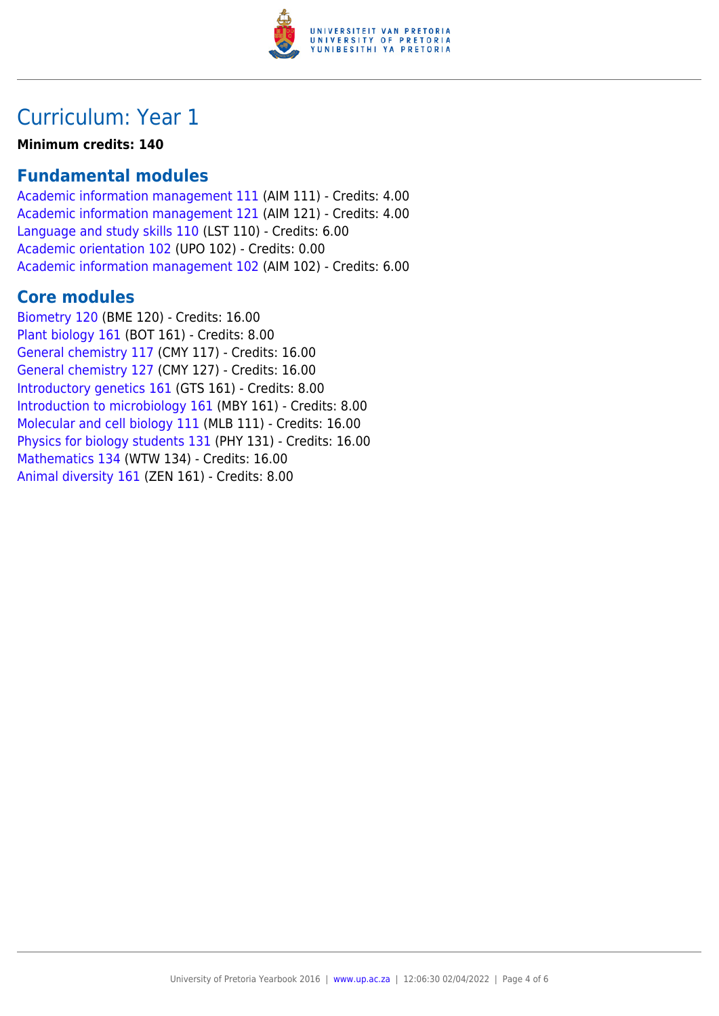

# Curriculum: Year 1

#### **Minimum credits: 140**

### **Fundamental modules**

[Academic information management 111](https://www.up.ac.za/faculty-of-education/yearbooks/2016/modules/view/AIM 111) (AIM 111) - Credits: 4.00 [Academic information management 121](https://www.up.ac.za/faculty-of-education/yearbooks/2016/modules/view/AIM 121) (AIM 121) - Credits: 4.00 [Language and study skills 110](https://www.up.ac.za/faculty-of-education/yearbooks/2016/modules/view/LST 110) (LST 110) - Credits: 6.00 [Academic orientation 102](https://www.up.ac.za/faculty-of-education/yearbooks/2016/modules/view/UPO 102) (UPO 102) - Credits: 0.00 [Academic information management 102](https://www.up.ac.za/faculty-of-education/yearbooks/2016/modules/view/AIM 102) (AIM 102) - Credits: 6.00

### **Core modules**

[Biometry 120](https://www.up.ac.za/faculty-of-education/yearbooks/2016/modules/view/BME 120) (BME 120) - Credits: 16.00 [Plant biology 161](https://www.up.ac.za/faculty-of-education/yearbooks/2016/modules/view/BOT 161) (BOT 161) - Credits: 8.00 [General chemistry 117](https://www.up.ac.za/faculty-of-education/yearbooks/2016/modules/view/CMY 117) (CMY 117) - Credits: 16.00 [General chemistry 127](https://www.up.ac.za/faculty-of-education/yearbooks/2016/modules/view/CMY 127) (CMY 127) - Credits: 16.00 [Introductory genetics 161](https://www.up.ac.za/faculty-of-education/yearbooks/2016/modules/view/GTS 161) (GTS 161) - Credits: 8.00 [Introduction to microbiology 161](https://www.up.ac.za/faculty-of-education/yearbooks/2016/modules/view/MBY 161) (MBY 161) - Credits: 8.00 [Molecular and cell biology 111](https://www.up.ac.za/faculty-of-education/yearbooks/2016/modules/view/MLB 111) (MLB 111) - Credits: 16.00 [Physics for biology students 131](https://www.up.ac.za/faculty-of-education/yearbooks/2016/modules/view/PHY 131) (PHY 131) - Credits: 16.00 [Mathematics 134](https://www.up.ac.za/faculty-of-education/yearbooks/2016/modules/view/WTW 134) (WTW 134) - Credits: 16.00 [Animal diversity 161](https://www.up.ac.za/faculty-of-education/yearbooks/2016/modules/view/ZEN 161) (ZEN 161) - Credits: 8.00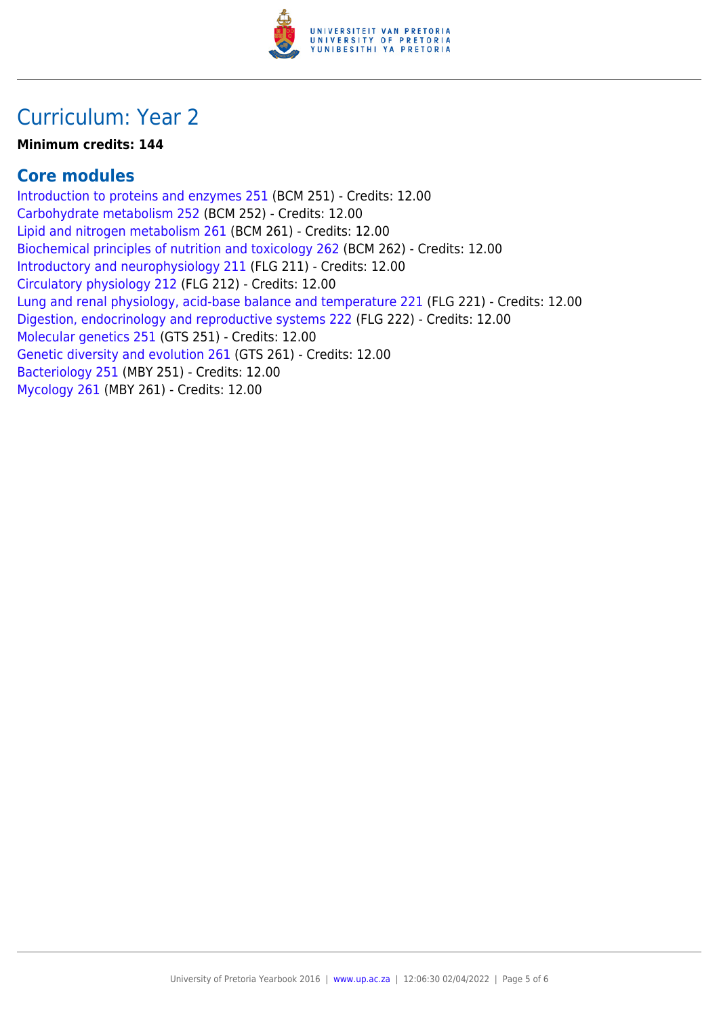

# Curriculum: Year 2

#### **Minimum credits: 144**

### **Core modules**

[Introduction to proteins and enzymes 251](https://www.up.ac.za/faculty-of-education/yearbooks/2016/modules/view/BCM 251) (BCM 251) - Credits: 12.00 [Carbohydrate metabolism 252](https://www.up.ac.za/faculty-of-education/yearbooks/2016/modules/view/BCM 252) (BCM 252) - Credits: 12.00 [Lipid and nitrogen metabolism 261](https://www.up.ac.za/faculty-of-education/yearbooks/2016/modules/view/BCM 261) (BCM 261) - Credits: 12.00 [Biochemical principles of nutrition and toxicology 262](https://www.up.ac.za/faculty-of-education/yearbooks/2016/modules/view/BCM 262) (BCM 262) - Credits: 12.00 [Introductory and neurophysiology 211](https://www.up.ac.za/faculty-of-education/yearbooks/2016/modules/view/FLG 211) (FLG 211) - Credits: 12.00 [Circulatory physiology 212](https://www.up.ac.za/faculty-of-education/yearbooks/2016/modules/view/FLG 212) (FLG 212) - Credits: 12.00 [Lung and renal physiology, acid-base balance and temperature 221](https://www.up.ac.za/faculty-of-education/yearbooks/2016/modules/view/FLG 221) (FLG 221) - Credits: 12.00 [Digestion, endocrinology and reproductive systems 222](https://www.up.ac.za/faculty-of-education/yearbooks/2016/modules/view/FLG 222) (FLG 222) - Credits: 12.00 [Molecular genetics 251](https://www.up.ac.za/faculty-of-education/yearbooks/2016/modules/view/GTS 251) (GTS 251) - Credits: 12.00 [Genetic diversity and evolution 261](https://www.up.ac.za/faculty-of-education/yearbooks/2016/modules/view/GTS 261) (GTS 261) - Credits: 12.00 [Bacteriology 251](https://www.up.ac.za/faculty-of-education/yearbooks/2016/modules/view/MBY 251) (MBY 251) - Credits: 12.00 [Mycology 261](https://www.up.ac.za/faculty-of-education/yearbooks/2016/modules/view/MBY 261) (MBY 261) - Credits: 12.00